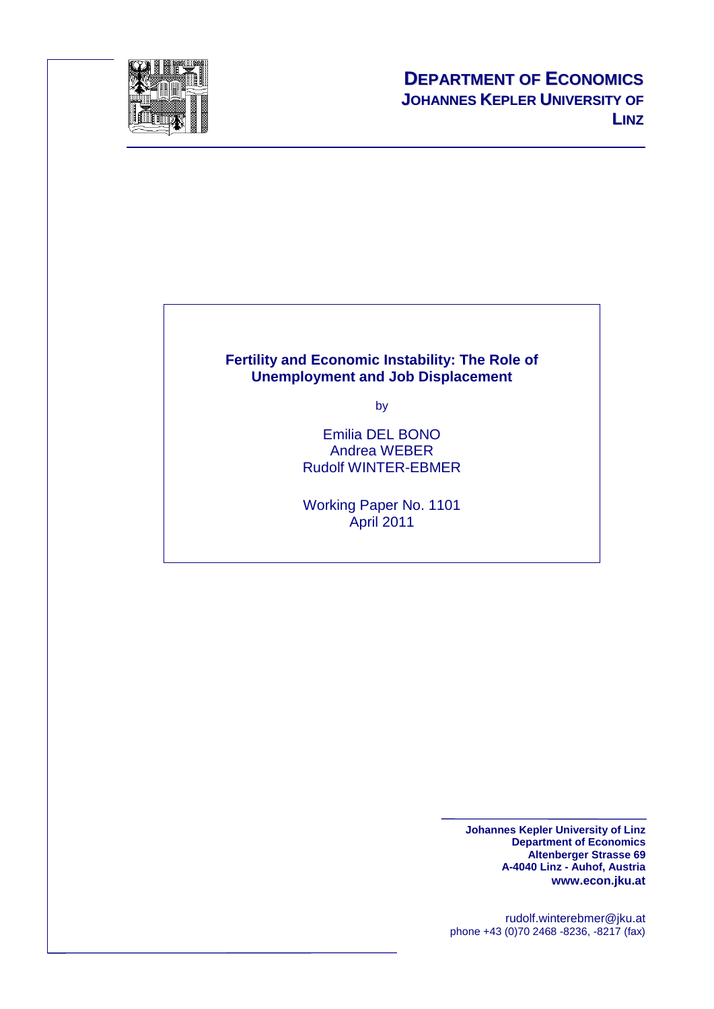

#### **Fertility and Economic Instability: The Role of Unemployment and Job Displacement**

by

Emilia DEL BONO Andrea WEBER Rudolf WINTER-EBMER

Working Paper No. 1101 April 2011

> **Johannes Kepler University of Linz Department of Economics Altenberger Strasse 69 A-4040 Linz - Auhof, Austria www.econ.jku.at**

rudolf.winterebmer@jku.at phone +43 (0)70 2468 -8236, -8217 (fax)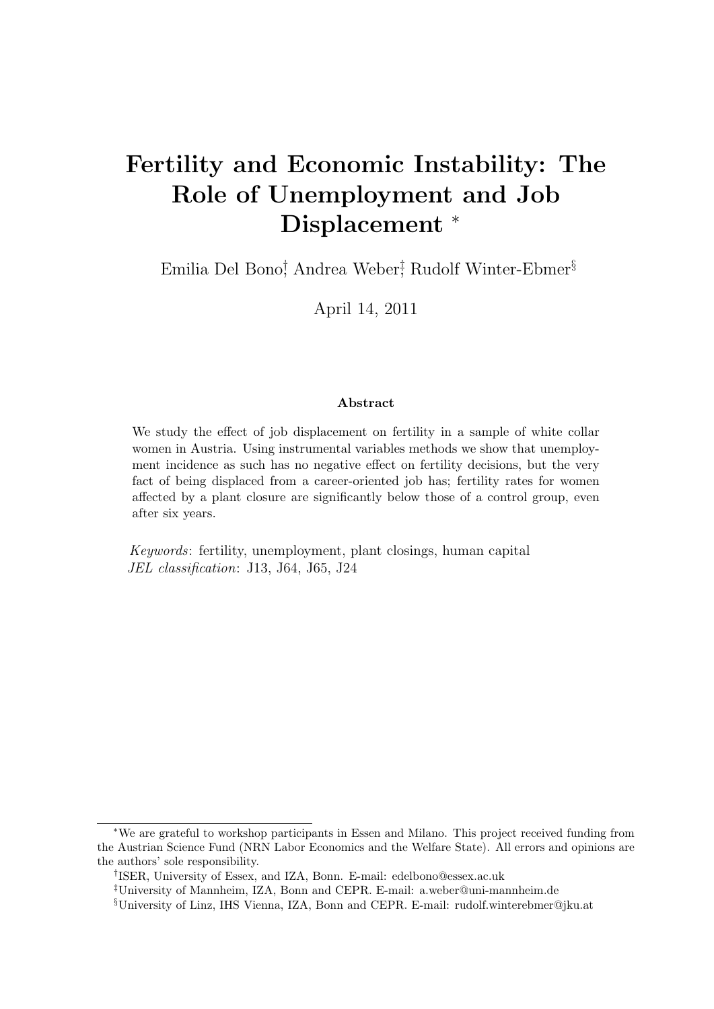# Fertility and Economic Instability: The Role of Unemployment and Job Displacement  $*$

Emilia Del Bono<sup>†</sup>, Andrea Weber<sup>†</sup>, Rudolf Winter-Ebmer<sup>§</sup>

April 14, 2011

#### Abstract

We study the effect of job displacement on fertility in a sample of white collar women in Austria. Using instrumental variables methods we show that unemployment incidence as such has no negative effect on fertility decisions, but the very fact of being displaced from a career-oriented job has; fertility rates for women affected by a plant closure are significantly below those of a control group, even after six years.

Keywords: fertility, unemployment, plant closings, human capital JEL classification: J13, J64, J65, J24

<sup>∗</sup>We are grateful to workshop participants in Essen and Milano. This project received funding from the Austrian Science Fund (NRN Labor Economics and the Welfare State). All errors and opinions are the authors' sole responsibility.

<sup>†</sup> ISER, University of Essex, and IZA, Bonn. E-mail: edelbono@essex.ac.uk

<sup>‡</sup>University of Mannheim, IZA, Bonn and CEPR. E-mail: a.weber@uni-mannheim.de

<sup>§</sup>University of Linz, IHS Vienna, IZA, Bonn and CEPR. E-mail: rudolf.winterebmer@jku.at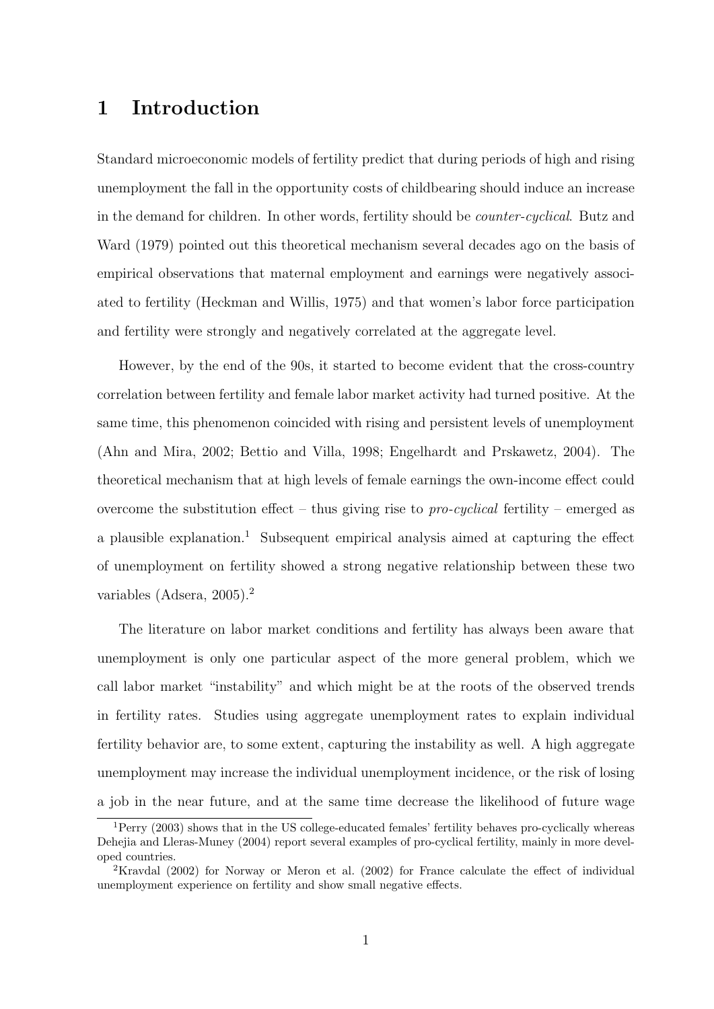## 1 Introduction

Standard microeconomic models of fertility predict that during periods of high and rising unemployment the fall in the opportunity costs of childbearing should induce an increase in the demand for children. In other words, fertility should be counter-cyclical. Butz and Ward (1979) pointed out this theoretical mechanism several decades ago on the basis of empirical observations that maternal employment and earnings were negatively associated to fertility (Heckman and Willis, 1975) and that women's labor force participation and fertility were strongly and negatively correlated at the aggregate level.

However, by the end of the 90s, it started to become evident that the cross-country correlation between fertility and female labor market activity had turned positive. At the same time, this phenomenon coincided with rising and persistent levels of unemployment (Ahn and Mira, 2002; Bettio and Villa, 1998; Engelhardt and Prskawetz, 2004). The theoretical mechanism that at high levels of female earnings the own-income effect could overcome the substitution effect – thus giving rise to *pro-cyclical* fertility – emerged as a plausible explanation.<sup>1</sup> Subsequent empirical analysis aimed at capturing the effect of unemployment on fertility showed a strong negative relationship between these two variables (Adsera, 2005).<sup>2</sup>

The literature on labor market conditions and fertility has always been aware that unemployment is only one particular aspect of the more general problem, which we call labor market "instability" and which might be at the roots of the observed trends in fertility rates. Studies using aggregate unemployment rates to explain individual fertility behavior are, to some extent, capturing the instability as well. A high aggregate unemployment may increase the individual unemployment incidence, or the risk of losing a job in the near future, and at the same time decrease the likelihood of future wage

 $1$ Perry (2003) shows that in the US college-educated females' fertility behaves pro-cyclically whereas Dehejia and Lleras-Muney (2004) report several examples of pro-cyclical fertility, mainly in more developed countries.

<sup>&</sup>lt;sup>2</sup>Kravdal (2002) for Norway or Meron et al. (2002) for France calculate the effect of individual unemployment experience on fertility and show small negative effects.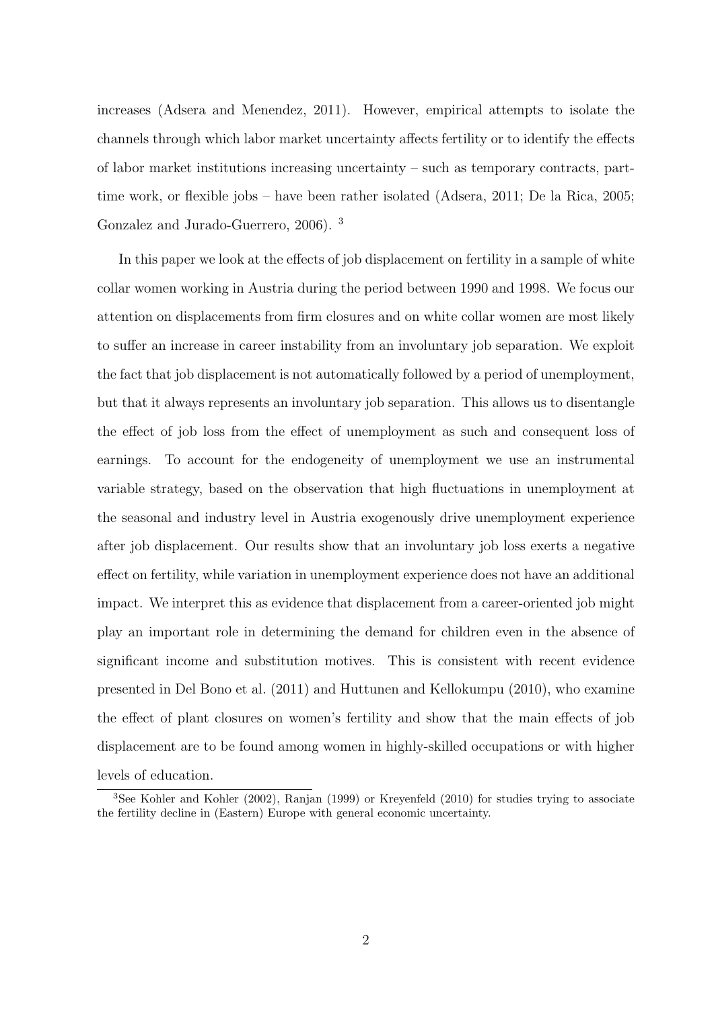increases (Adsera and Menendez, 2011). However, empirical attempts to isolate the channels through which labor market uncertainty affects fertility or to identify the effects of labor market institutions increasing uncertainty – such as temporary contracts, parttime work, or flexible jobs – have been rather isolated (Adsera, 2011; De la Rica, 2005; Gonzalez and Jurado-Guerrero, 2006). <sup>3</sup>

In this paper we look at the effects of job displacement on fertility in a sample of white collar women working in Austria during the period between 1990 and 1998. We focus our attention on displacements from firm closures and on white collar women are most likely to suffer an increase in career instability from an involuntary job separation. We exploit the fact that job displacement is not automatically followed by a period of unemployment, but that it always represents an involuntary job separation. This allows us to disentangle the effect of job loss from the effect of unemployment as such and consequent loss of earnings. To account for the endogeneity of unemployment we use an instrumental variable strategy, based on the observation that high fluctuations in unemployment at the seasonal and industry level in Austria exogenously drive unemployment experience after job displacement. Our results show that an involuntary job loss exerts a negative effect on fertility, while variation in unemployment experience does not have an additional impact. We interpret this as evidence that displacement from a career-oriented job might play an important role in determining the demand for children even in the absence of significant income and substitution motives. This is consistent with recent evidence presented in Del Bono et al. (2011) and Huttunen and Kellokumpu (2010), who examine the effect of plant closures on women's fertility and show that the main effects of job displacement are to be found among women in highly-skilled occupations or with higher levels of education.

<sup>3</sup>See Kohler and Kohler (2002), Ranjan (1999) or Kreyenfeld (2010) for studies trying to associate the fertility decline in (Eastern) Europe with general economic uncertainty.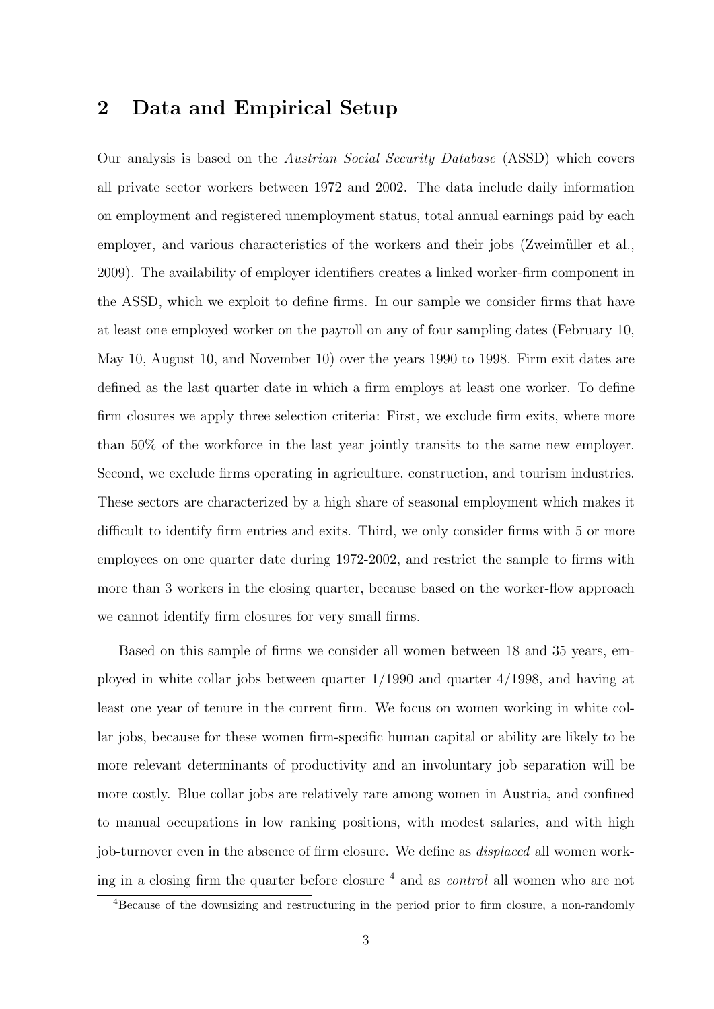#### 2 Data and Empirical Setup

Our analysis is based on the Austrian Social Security Database (ASSD) which covers all private sector workers between 1972 and 2002. The data include daily information on employment and registered unemployment status, total annual earnings paid by each employer, and various characteristics of the workers and their jobs (Zweimüller et al., 2009). The availability of employer identifiers creates a linked worker-firm component in the ASSD, which we exploit to define firms. In our sample we consider firms that have at least one employed worker on the payroll on any of four sampling dates (February 10, May 10, August 10, and November 10) over the years 1990 to 1998. Firm exit dates are defined as the last quarter date in which a firm employs at least one worker. To define firm closures we apply three selection criteria: First, we exclude firm exits, where more than 50% of the workforce in the last year jointly transits to the same new employer. Second, we exclude firms operating in agriculture, construction, and tourism industries. These sectors are characterized by a high share of seasonal employment which makes it difficult to identify firm entries and exits. Third, we only consider firms with 5 or more employees on one quarter date during 1972-2002, and restrict the sample to firms with more than 3 workers in the closing quarter, because based on the worker-flow approach we cannot identify firm closures for very small firms.

Based on this sample of firms we consider all women between 18 and 35 years, employed in white collar jobs between quarter 1/1990 and quarter 4/1998, and having at least one year of tenure in the current firm. We focus on women working in white collar jobs, because for these women firm-specific human capital or ability are likely to be more relevant determinants of productivity and an involuntary job separation will be more costly. Blue collar jobs are relatively rare among women in Austria, and confined to manual occupations in low ranking positions, with modest salaries, and with high job-turnover even in the absence of firm closure. We define as *displaced* all women working in a closing firm the quarter before closure  $4$  and as *control* all women who are not

<sup>4</sup>Because of the downsizing and restructuring in the period prior to firm closure, a non-randomly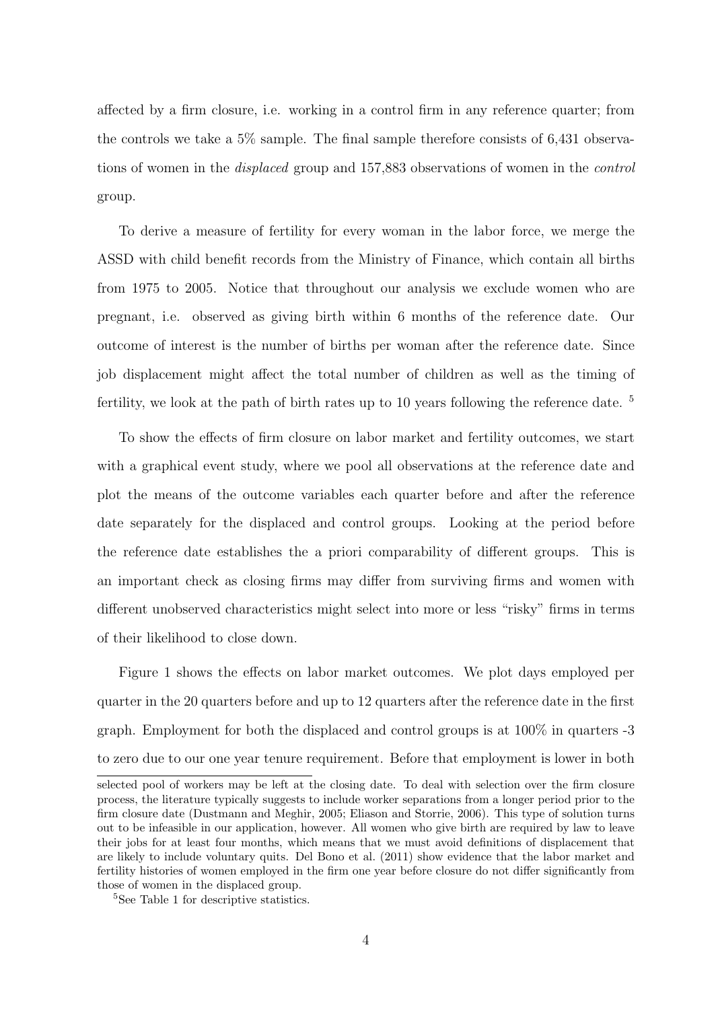affected by a firm closure, i.e. working in a control firm in any reference quarter; from the controls we take a 5% sample. The final sample therefore consists of 6,431 observations of women in the *displaced* group and 157,883 observations of women in the *control* group.

To derive a measure of fertility for every woman in the labor force, we merge the ASSD with child benefit records from the Ministry of Finance, which contain all births from 1975 to 2005. Notice that throughout our analysis we exclude women who are pregnant, i.e. observed as giving birth within 6 months of the reference date. Our outcome of interest is the number of births per woman after the reference date. Since job displacement might affect the total number of children as well as the timing of fertility, we look at the path of birth rates up to 10 years following the reference date.  $5$ 

To show the effects of firm closure on labor market and fertility outcomes, we start with a graphical event study, where we pool all observations at the reference date and plot the means of the outcome variables each quarter before and after the reference date separately for the displaced and control groups. Looking at the period before the reference date establishes the a priori comparability of different groups. This is an important check as closing firms may differ from surviving firms and women with different unobserved characteristics might select into more or less "risky" firms in terms of their likelihood to close down.

Figure 1 shows the effects on labor market outcomes. We plot days employed per quarter in the 20 quarters before and up to 12 quarters after the reference date in the first graph. Employment for both the displaced and control groups is at 100% in quarters -3 to zero due to our one year tenure requirement. Before that employment is lower in both

selected pool of workers may be left at the closing date. To deal with selection over the firm closure process, the literature typically suggests to include worker separations from a longer period prior to the firm closure date (Dustmann and Meghir, 2005; Eliason and Storrie, 2006). This type of solution turns out to be infeasible in our application, however. All women who give birth are required by law to leave their jobs for at least four months, which means that we must avoid definitions of displacement that are likely to include voluntary quits. Del Bono et al. (2011) show evidence that the labor market and fertility histories of women employed in the firm one year before closure do not differ significantly from those of women in the displaced group.

<sup>5</sup>See Table 1 for descriptive statistics.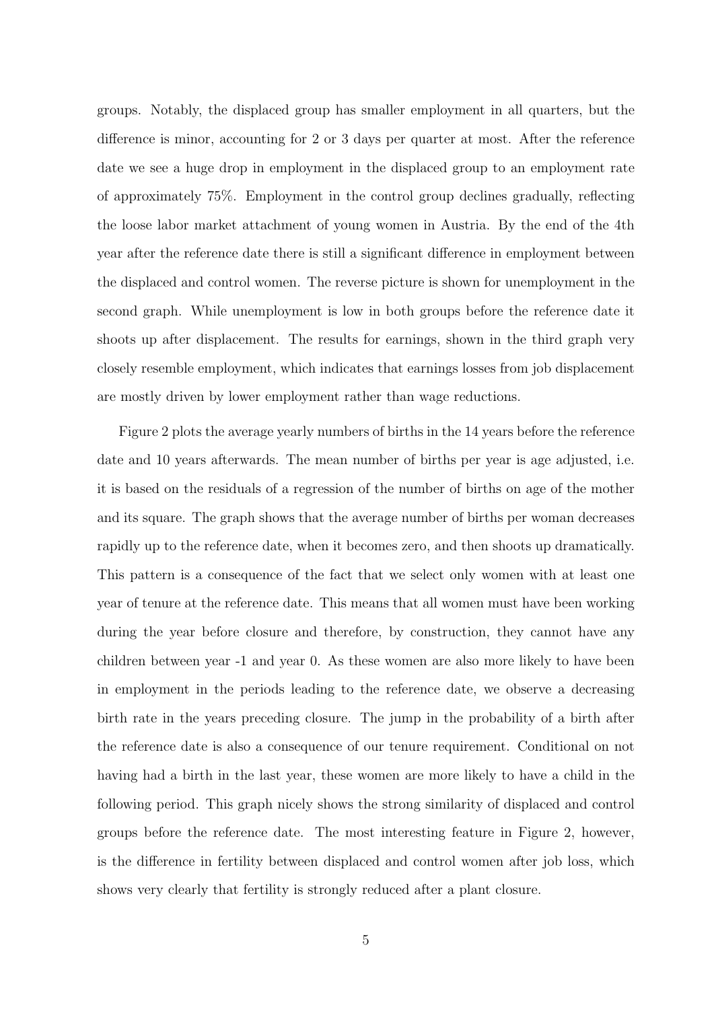groups. Notably, the displaced group has smaller employment in all quarters, but the difference is minor, accounting for 2 or 3 days per quarter at most. After the reference date we see a huge drop in employment in the displaced group to an employment rate of approximately 75%. Employment in the control group declines gradually, reflecting the loose labor market attachment of young women in Austria. By the end of the 4th year after the reference date there is still a significant difference in employment between the displaced and control women. The reverse picture is shown for unemployment in the second graph. While unemployment is low in both groups before the reference date it shoots up after displacement. The results for earnings, shown in the third graph very closely resemble employment, which indicates that earnings losses from job displacement are mostly driven by lower employment rather than wage reductions.

Figure 2 plots the average yearly numbers of births in the 14 years before the reference date and 10 years afterwards. The mean number of births per year is age adjusted, i.e. it is based on the residuals of a regression of the number of births on age of the mother and its square. The graph shows that the average number of births per woman decreases rapidly up to the reference date, when it becomes zero, and then shoots up dramatically. This pattern is a consequence of the fact that we select only women with at least one year of tenure at the reference date. This means that all women must have been working during the year before closure and therefore, by construction, they cannot have any children between year -1 and year 0. As these women are also more likely to have been in employment in the periods leading to the reference date, we observe a decreasing birth rate in the years preceding closure. The jump in the probability of a birth after the reference date is also a consequence of our tenure requirement. Conditional on not having had a birth in the last year, these women are more likely to have a child in the following period. This graph nicely shows the strong similarity of displaced and control groups before the reference date. The most interesting feature in Figure 2, however, is the difference in fertility between displaced and control women after job loss, which shows very clearly that fertility is strongly reduced after a plant closure.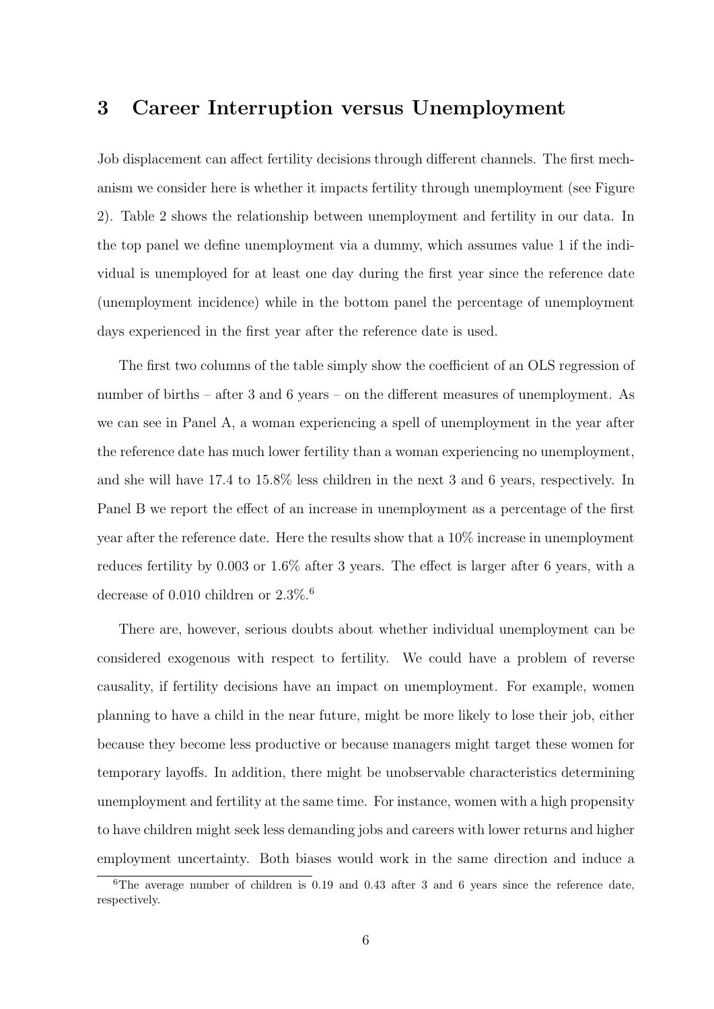### 3 Career Interruption versus Unemployment

Job displacement can affect fertility decisions through different channels. The first mechanism we consider here is whether it impacts fertility through unemployment (see Figure 2). Table 2 shows the relationship between unemployment and fertility in our data. In the top panel we define unemployment via a dummy, which assumes value 1 if the individual is unemployed for at least one day during the first year since the reference date (unemployment incidence) while in the bottom panel the percentage of unemployment days experienced in the first year after the reference date is used.

The first two columns of the table simply show the coefficient of an OLS regression of number of births – after 3 and 6 years – on the different measures of unemployment. As we can see in Panel A, a woman experiencing a spell of unemployment in the year after the reference date has much lower fertility than a woman experiencing no unemployment, and she will have 17.4 to 15.8% less children in the next 3 and 6 years, respectively. In Panel B we report the effect of an increase in unemployment as a percentage of the first year after the reference date. Here the results show that a 10% increase in unemployment reduces fertility by 0.003 or 1.6% after 3 years. The effect is larger after 6 years, with a decrease of 0.010 children or  $2.3\%$ .<sup>6</sup>

There are, however, serious doubts about whether individual unemployment can be considered exogenous with respect to fertility. We could have a problem of reverse causality, if fertility decisions have an impact on unemployment. For example, women planning to have a child in the near future, might be more likely to lose their job, either because they become less productive or because managers might target these women for temporary layoffs. In addition, there might be unobservable characteristics determining unemployment and fertility at the same time. For instance, women with a high propensity to have children might seek less demanding jobs and careers with lower returns and higher employment uncertainty. Both biases would work in the same direction and induce a

 ${}^{6}$ The average number of children is 0.19 and 0.43 after 3 and 6 years since the reference date, respectively.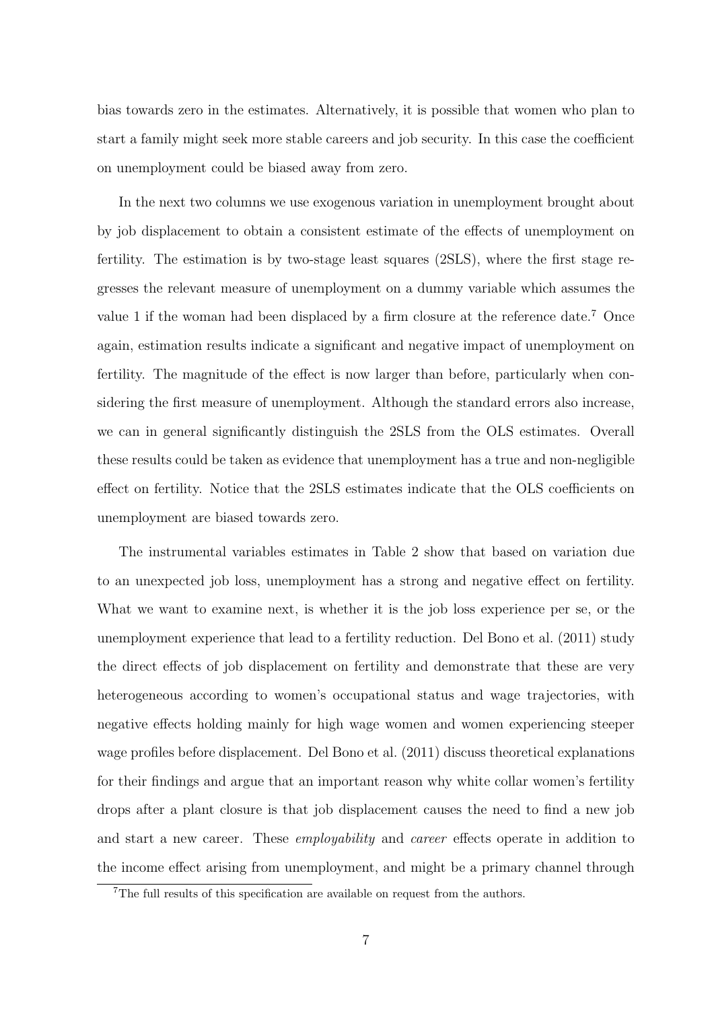bias towards zero in the estimates. Alternatively, it is possible that women who plan to start a family might seek more stable careers and job security. In this case the coefficient on unemployment could be biased away from zero.

In the next two columns we use exogenous variation in unemployment brought about by job displacement to obtain a consistent estimate of the effects of unemployment on fertility. The estimation is by two-stage least squares (2SLS), where the first stage regresses the relevant measure of unemployment on a dummy variable which assumes the value 1 if the woman had been displaced by a firm closure at the reference date.<sup>7</sup> Once again, estimation results indicate a significant and negative impact of unemployment on fertility. The magnitude of the effect is now larger than before, particularly when considering the first measure of unemployment. Although the standard errors also increase, we can in general significantly distinguish the 2SLS from the OLS estimates. Overall these results could be taken as evidence that unemployment has a true and non-negligible effect on fertility. Notice that the 2SLS estimates indicate that the OLS coefficients on unemployment are biased towards zero.

The instrumental variables estimates in Table 2 show that based on variation due to an unexpected job loss, unemployment has a strong and negative effect on fertility. What we want to examine next, is whether it is the job loss experience per se, or the unemployment experience that lead to a fertility reduction. Del Bono et al. (2011) study the direct effects of job displacement on fertility and demonstrate that these are very heterogeneous according to women's occupational status and wage trajectories, with negative effects holding mainly for high wage women and women experiencing steeper wage profiles before displacement. Del Bono et al. (2011) discuss theoretical explanations for their findings and argue that an important reason why white collar women's fertility drops after a plant closure is that job displacement causes the need to find a new job and start a new career. These employability and career effects operate in addition to the income effect arising from unemployment, and might be a primary channel through

<sup>&</sup>lt;sup>7</sup>The full results of this specification are available on request from the authors.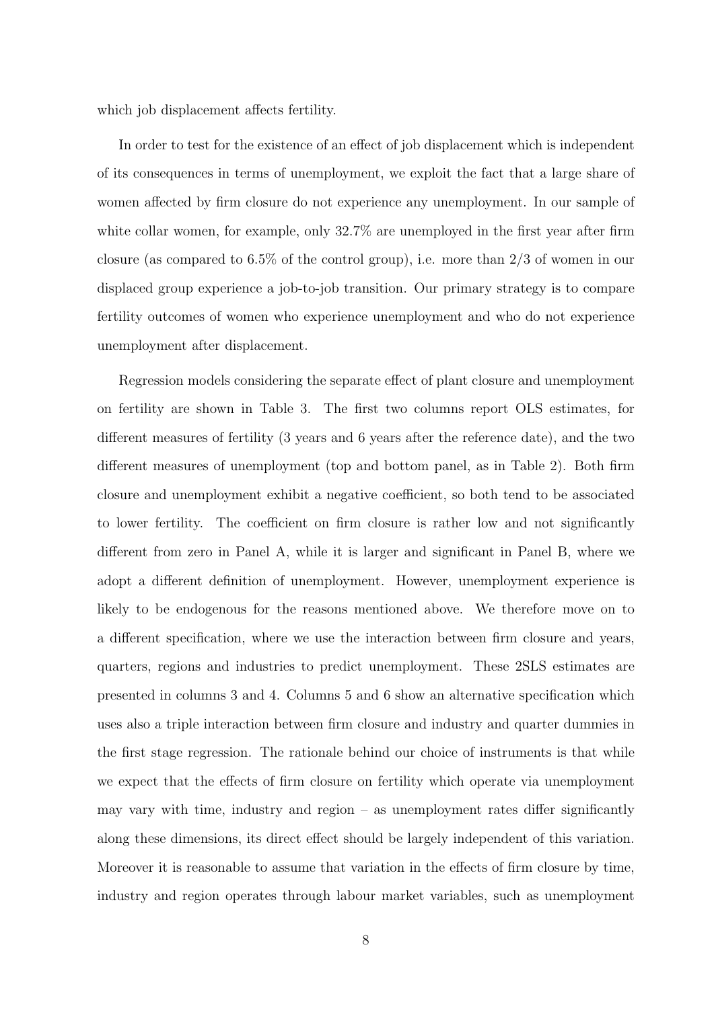which job displacement affects fertility.

In order to test for the existence of an effect of job displacement which is independent of its consequences in terms of unemployment, we exploit the fact that a large share of women affected by firm closure do not experience any unemployment. In our sample of white collar women, for example, only  $32.7\%$  are unemployed in the first year after firm closure (as compared to 6.5% of the control group), i.e. more than 2/3 of women in our displaced group experience a job-to-job transition. Our primary strategy is to compare fertility outcomes of women who experience unemployment and who do not experience unemployment after displacement.

Regression models considering the separate effect of plant closure and unemployment on fertility are shown in Table 3. The first two columns report OLS estimates, for different measures of fertility (3 years and 6 years after the reference date), and the two different measures of unemployment (top and bottom panel, as in Table 2). Both firm closure and unemployment exhibit a negative coefficient, so both tend to be associated to lower fertility. The coefficient on firm closure is rather low and not significantly different from zero in Panel A, while it is larger and significant in Panel B, where we adopt a different definition of unemployment. However, unemployment experience is likely to be endogenous for the reasons mentioned above. We therefore move on to a different specification, where we use the interaction between firm closure and years, quarters, regions and industries to predict unemployment. These 2SLS estimates are presented in columns 3 and 4. Columns 5 and 6 show an alternative specification which uses also a triple interaction between firm closure and industry and quarter dummies in the first stage regression. The rationale behind our choice of instruments is that while we expect that the effects of firm closure on fertility which operate via unemployment may vary with time, industry and region – as unemployment rates differ significantly along these dimensions, its direct effect should be largely independent of this variation. Moreover it is reasonable to assume that variation in the effects of firm closure by time, industry and region operates through labour market variables, such as unemployment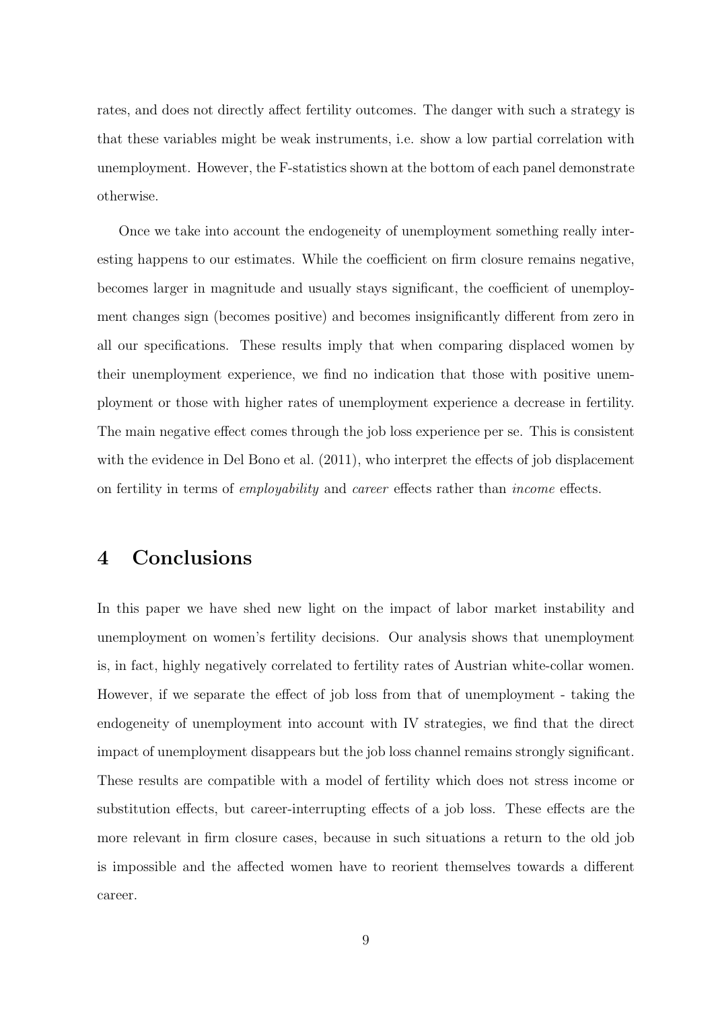rates, and does not directly affect fertility outcomes. The danger with such a strategy is that these variables might be weak instruments, i.e. show a low partial correlation with unemployment. However, the F-statistics shown at the bottom of each panel demonstrate otherwise.

Once we take into account the endogeneity of unemployment something really interesting happens to our estimates. While the coefficient on firm closure remains negative, becomes larger in magnitude and usually stays significant, the coefficient of unemployment changes sign (becomes positive) and becomes insignificantly different from zero in all our specifications. These results imply that when comparing displaced women by their unemployment experience, we find no indication that those with positive unemployment or those with higher rates of unemployment experience a decrease in fertility. The main negative effect comes through the job loss experience per se. This is consistent with the evidence in Del Bono et al. (2011), who interpret the effects of job displacement on fertility in terms of employability and career effects rather than income effects.

#### 4 Conclusions

In this paper we have shed new light on the impact of labor market instability and unemployment on women's fertility decisions. Our analysis shows that unemployment is, in fact, highly negatively correlated to fertility rates of Austrian white-collar women. However, if we separate the effect of job loss from that of unemployment - taking the endogeneity of unemployment into account with IV strategies, we find that the direct impact of unemployment disappears but the job loss channel remains strongly significant. These results are compatible with a model of fertility which does not stress income or substitution effects, but career-interrupting effects of a job loss. These effects are the more relevant in firm closure cases, because in such situations a return to the old job is impossible and the affected women have to reorient themselves towards a different career.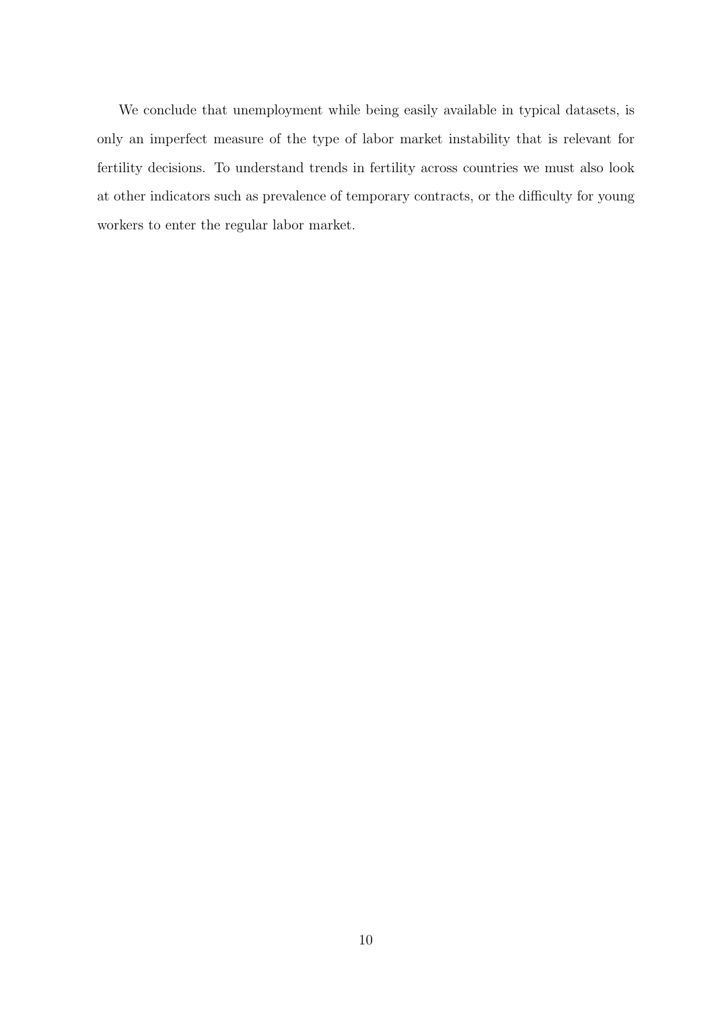We conclude that unemployment while being easily available in typical datasets, is only an imperfect measure of the type of labor market instability that is relevant for fertility decisions. To understand trends in fertility across countries we must also look at other indicators such as prevalence of temporary contracts, or the difficulty for young workers to enter the regular labor market.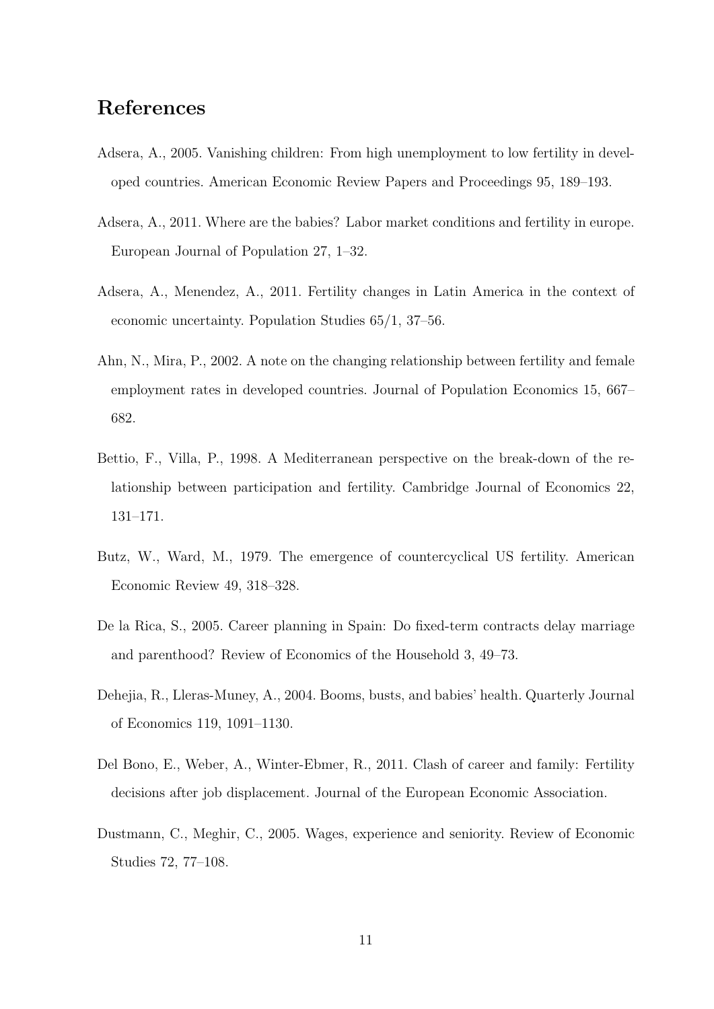# References

- Adsera, A., 2005. Vanishing children: From high unemployment to low fertility in developed countries. American Economic Review Papers and Proceedings 95, 189–193.
- Adsera, A., 2011. Where are the babies? Labor market conditions and fertility in europe. European Journal of Population 27, 1–32.
- Adsera, A., Menendez, A., 2011. Fertility changes in Latin America in the context of economic uncertainty. Population Studies 65/1, 37–56.
- Ahn, N., Mira, P., 2002. A note on the changing relationship between fertility and female employment rates in developed countries. Journal of Population Economics 15, 667– 682.
- Bettio, F., Villa, P., 1998. A Mediterranean perspective on the break-down of the relationship between participation and fertility. Cambridge Journal of Economics 22, 131–171.
- Butz, W., Ward, M., 1979. The emergence of countercyclical US fertility. American Economic Review 49, 318–328.
- De la Rica, S., 2005. Career planning in Spain: Do fixed-term contracts delay marriage and parenthood? Review of Economics of the Household 3, 49–73.
- Dehejia, R., Lleras-Muney, A., 2004. Booms, busts, and babies' health. Quarterly Journal of Economics 119, 1091–1130.
- Del Bono, E., Weber, A., Winter-Ebmer, R., 2011. Clash of career and family: Fertility decisions after job displacement. Journal of the European Economic Association.
- Dustmann, C., Meghir, C., 2005. Wages, experience and seniority. Review of Economic Studies 72, 77–108.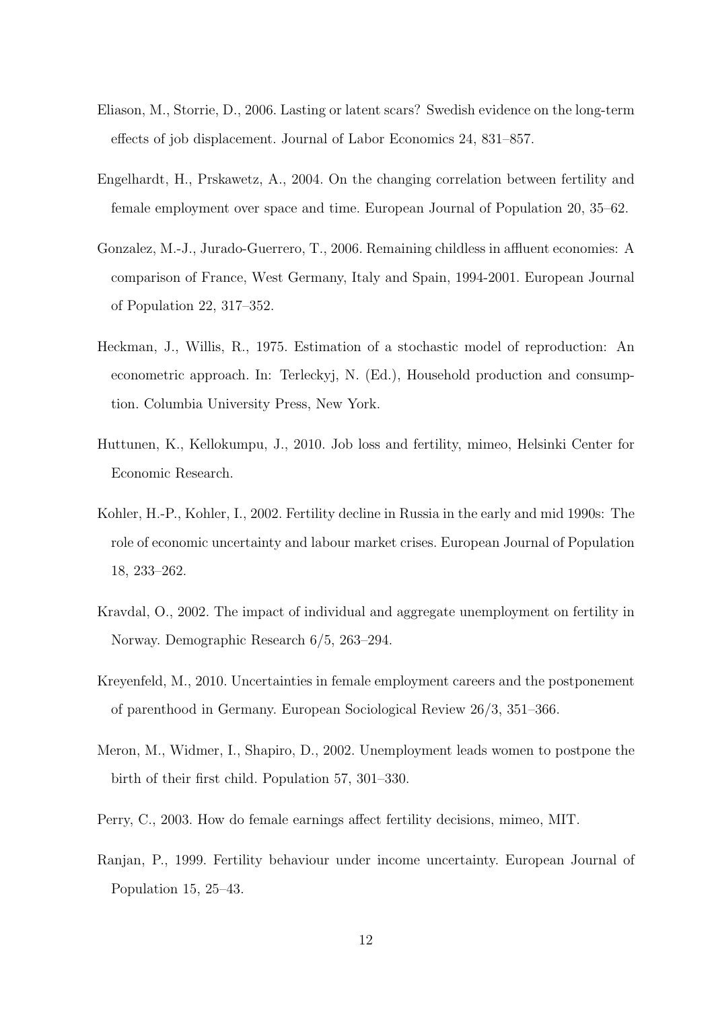- Eliason, M., Storrie, D., 2006. Lasting or latent scars? Swedish evidence on the long-term effects of job displacement. Journal of Labor Economics 24, 831–857.
- Engelhardt, H., Prskawetz, A., 2004. On the changing correlation between fertility and female employment over space and time. European Journal of Population 20, 35–62.
- Gonzalez, M.-J., Jurado-Guerrero, T., 2006. Remaining childless in affluent economies: A comparison of France, West Germany, Italy and Spain, 1994-2001. European Journal of Population 22, 317–352.
- Heckman, J., Willis, R., 1975. Estimation of a stochastic model of reproduction: An econometric approach. In: Terleckyj, N. (Ed.), Household production and consumption. Columbia University Press, New York.
- Huttunen, K., Kellokumpu, J., 2010. Job loss and fertility, mimeo, Helsinki Center for Economic Research.
- Kohler, H.-P., Kohler, I., 2002. Fertility decline in Russia in the early and mid 1990s: The role of economic uncertainty and labour market crises. European Journal of Population 18, 233–262.
- Kravdal, O., 2002. The impact of individual and aggregate unemployment on fertility in Norway. Demographic Research 6/5, 263–294.
- Kreyenfeld, M., 2010. Uncertainties in female employment careers and the postponement of parenthood in Germany. European Sociological Review 26/3, 351–366.
- Meron, M., Widmer, I., Shapiro, D., 2002. Unemployment leads women to postpone the birth of their first child. Population 57, 301–330.
- Perry, C., 2003. How do female earnings affect fertility decisions, mimeo, MIT.
- Ranjan, P., 1999. Fertility behaviour under income uncertainty. European Journal of Population 15, 25–43.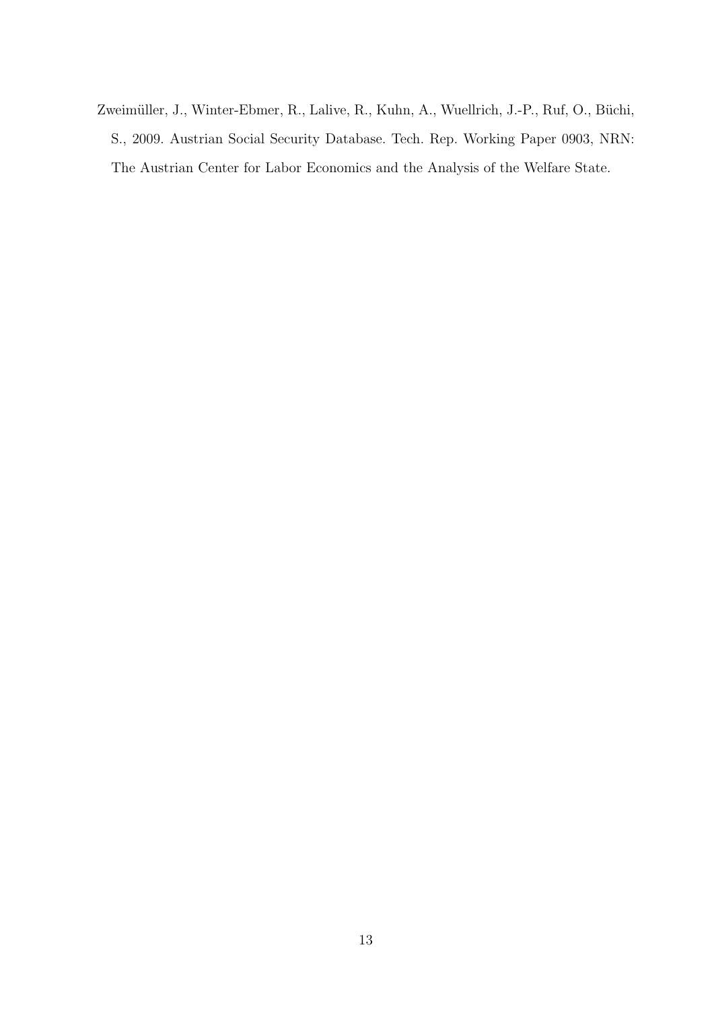Zweimüller, J., Winter-Ebmer, R., Lalive, R., Kuhn, A., Wuellrich, J.-P., Ruf, O., Büchi, S., 2009. Austrian Social Security Database. Tech. Rep. Working Paper 0903, NRN: The Austrian Center for Labor Economics and the Analysis of the Welfare State.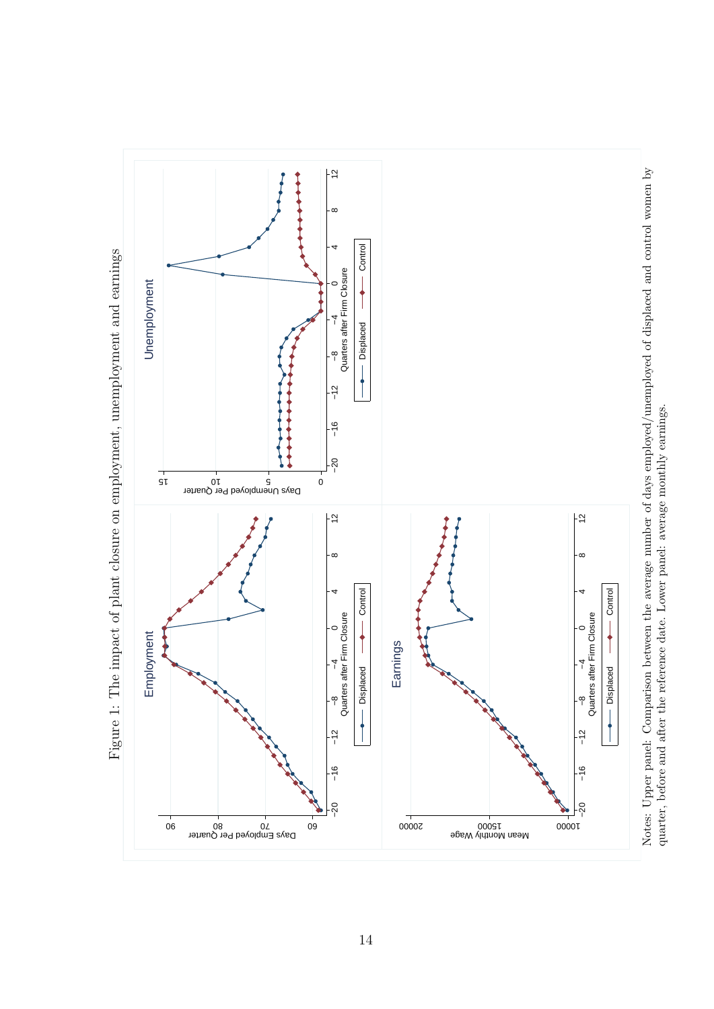

quarter, before and after the reference date. Lower panel: average monthly earnings. quarter, before and after the reference date. Lower panel: average monthly earnings.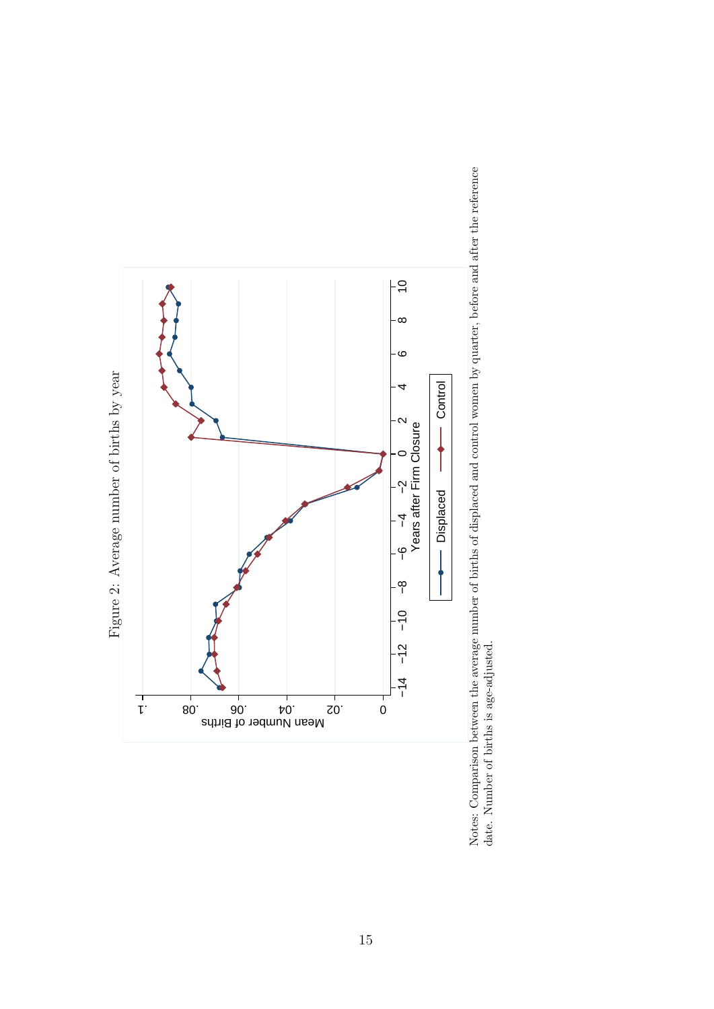

Notes: Comparison between the average number of births of displaced and control women by quarter, before and after the reference date. Number of births is age-adjusted. Notes: Comparison between the average number of births of displaced and control women by quarter, before and after the reference date. Number of births is age-adjusted.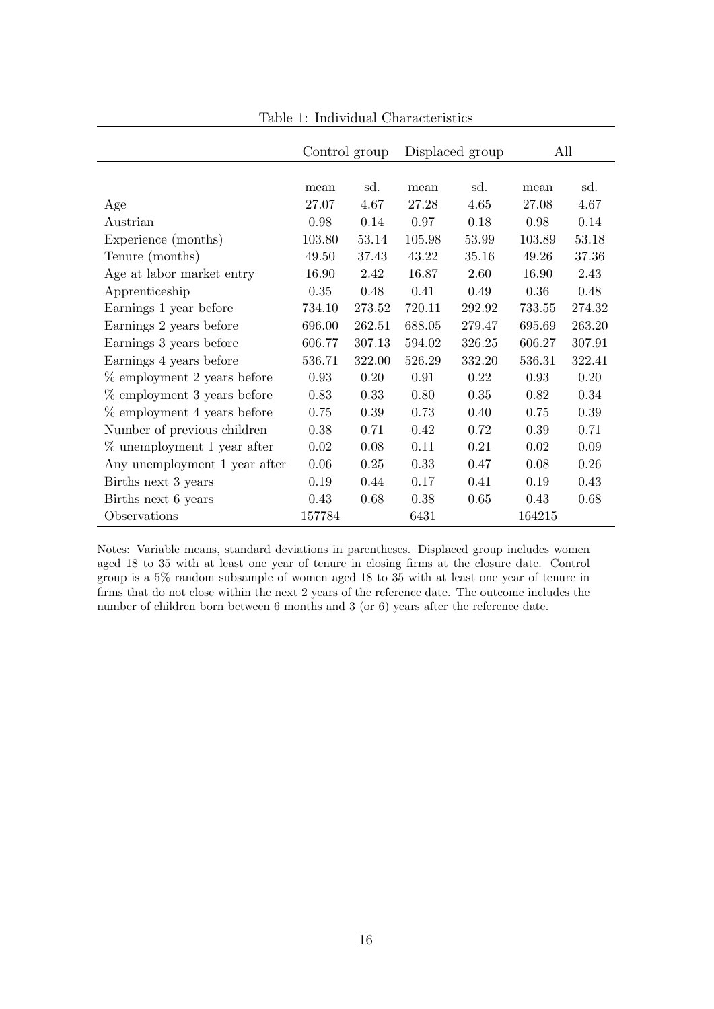|                               | Control group |        | Displaced group |        | All    |        |
|-------------------------------|---------------|--------|-----------------|--------|--------|--------|
|                               |               |        |                 |        |        |        |
|                               | mean          | sd.    | mean            | sd.    | mean   | sd.    |
| Age                           | 27.07         | 4.67   | 27.28           | 4.65   | 27.08  | 4.67   |
| Austrian                      | 0.98          | 0.14   | 0.97            | 0.18   | 0.98   | 0.14   |
| Experience (months)           | 103.80        | 53.14  | 105.98          | 53.99  | 103.89 | 53.18  |
| Tenure (months)               | 49.50         | 37.43  | 43.22           | 35.16  | 49.26  | 37.36  |
| Age at labor market entry     | 16.90         | 2.42   | 16.87           | 2.60   | 16.90  | 2.43   |
| Apprenticeship                | 0.35          | 0.48   | 0.41            | 0.49   | 0.36   | 0.48   |
| Earnings 1 year before        | 734.10        | 273.52 | 720.11          | 292.92 | 733.55 | 274.32 |
| Earnings 2 years before       | 696.00        | 262.51 | 688.05          | 279.47 | 695.69 | 263.20 |
| Earnings 3 years before       | 606.77        | 307.13 | 594.02          | 326.25 | 606.27 | 307.91 |
| Earnings 4 years before       | 536.71        | 322.00 | 526.29          | 332.20 | 536.31 | 322.41 |
| $%$ employment 2 years before | 0.93          | 0.20   | 0.91            | 0.22   | 0.93   | 0.20   |
| % employment 3 years before   | 0.83          | 0.33   | 0.80            | 0.35   | 0.82   | 0.34   |
| % employment 4 years before   | 0.75          | 0.39   | 0.73            | 0.40   | 0.75   | 0.39   |
| Number of previous children   | 0.38          | 0.71   | 0.42            | 0.72   | 0.39   | 0.71   |
| % unemployment 1 year after   | 0.02          | 0.08   | 0.11            | 0.21   | 0.02   | 0.09   |
| Any unemployment 1 year after | 0.06          | 0.25   | 0.33            | 0.47   | 0.08   | 0.26   |
| Births next 3 years           | 0.19          | 0.44   | 0.17            | 0.41   | 0.19   | 0.43   |
| Births next 6 years           | 0.43          | 0.68   | 0.38            | 0.65   | 0.43   | 0.68   |
| Observations                  | 157784        |        | 6431            |        | 164215 |        |

Table 1: Individual Characteristics

Notes: Variable means, standard deviations in parentheses. Displaced group includes women aged 18 to 35 with at least one year of tenure in closing firms at the closure date. Control group is a 5% random subsample of women aged 18 to 35 with at least one year of tenure in firms that do not close within the next 2 years of the reference date. The outcome includes the number of children born between 6 months and 3 (or 6) years after the reference date.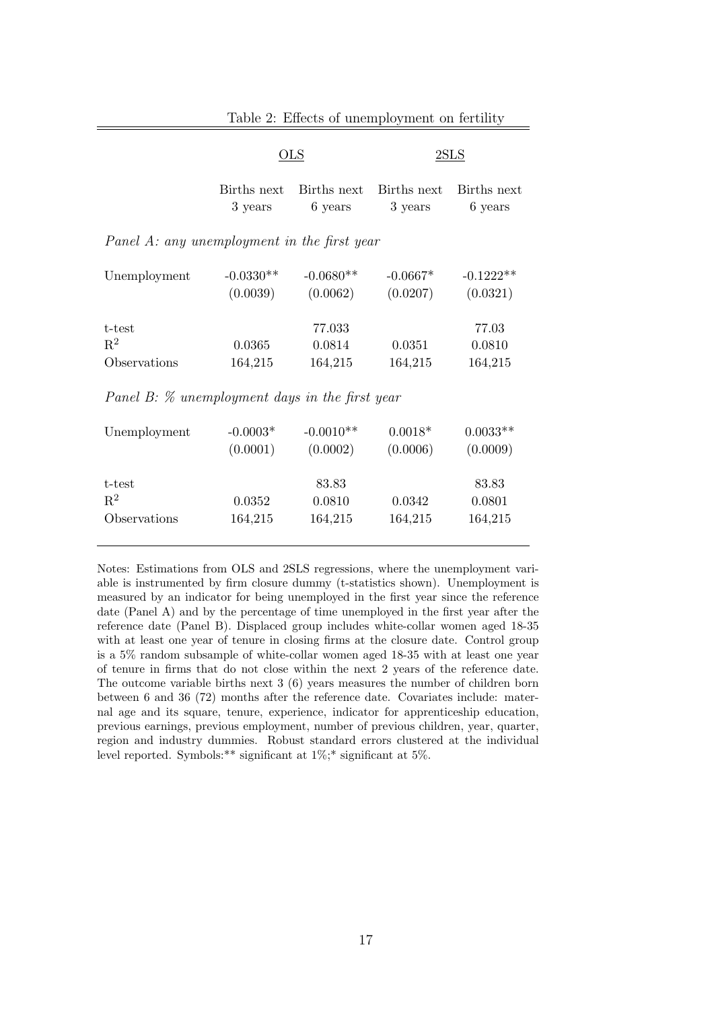|                                             | $_{\rm OLS}$            |                             |                        | $2{\rm SLS}$               |  |  |  |
|---------------------------------------------|-------------------------|-----------------------------|------------------------|----------------------------|--|--|--|
|                                             | Births next<br>3 years  | Births next<br>6 years      | Births next<br>3 years | Births next<br>6 years     |  |  |  |
| Panel A: any unemployment in the first year |                         |                             |                        |                            |  |  |  |
| Unemployment                                | $-0.0330**$<br>(0.0039) | $-0.0680**$<br>(0.0062)     | $-0.0667*$<br>(0.0207) | $-0.1222**$<br>(0.0321)    |  |  |  |
| t-test<br>$R^2$<br>Observations             | 0.0365<br>164,215       | 77.033<br>0.0814<br>164,215 | 0.0351<br>164,215      | 77.03<br>0.0810<br>164,215 |  |  |  |

Table 2: Effects of unemployment on fertility

Panel B: % unemployment days in the first year

| Unemployment | $-0.0003*$<br>(0.0001) | $-0.0010**$<br>(0.0002) | $0.0018*$<br>(0.0006) | $0.0033**$<br>(0.0009) |
|--------------|------------------------|-------------------------|-----------------------|------------------------|
| t-test       |                        | 83.83                   |                       | 83.83                  |
| $R^2$        | 0.0352                 | 0.0810                  | 0.0342                | 0.0801                 |
| Observations | 164,215                | 164,215                 | 164,215               | 164,215                |

Notes: Estimations from OLS and 2SLS regressions, where the unemployment variable is instrumented by firm closure dummy (t-statistics shown). Unemployment is measured by an indicator for being unemployed in the first year since the reference date (Panel A) and by the percentage of time unemployed in the first year after the reference date (Panel B). Displaced group includes white-collar women aged 18-35 with at least one year of tenure in closing firms at the closure date. Control group is a 5% random subsample of white-collar women aged 18-35 with at least one year of tenure in firms that do not close within the next 2 years of the reference date. The outcome variable births next 3 (6) years measures the number of children born between 6 and 36 (72) months after the reference date. Covariates include: maternal age and its square, tenure, experience, indicator for apprenticeship education, previous earnings, previous employment, number of previous children, year, quarter, region and industry dummies. Robust standard errors clustered at the individual level reported. Symbols:\*\* significant at 1%;\* significant at 5%.